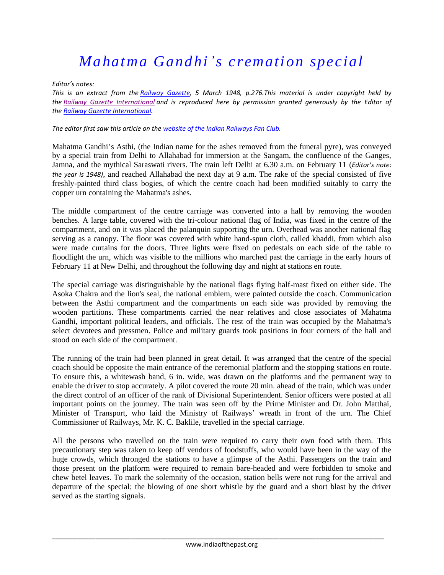## *Mahatma Gandhi's cremation special*

*Editor's notes:* 

*This is an extract from the [Railway Gazette,](http://www.railwaygazette.com/) 5 March 1948, p.276.This material is under copyright held by the [Railway Gazette International](http://www.railwaygazette.com/) and is reproduced here by permission granted generously by the Editor of the [Railway Gazette International.](http://www.railwaygazette.com/)*

## *The editor first saw this article on the [website of the Indian Railways Fan Club.](http://www.irfca.org/docs/history/railway-gazette-gandhi-cremation-special-1948.html)*

Mahatma Gandhi's Asthi, (the Indian name for the ashes removed from the funeral pyre), was conveyed by a special train from Delhi to Allahabad for immersion at the Sangam, the confluence of the Ganges, Jamna, and the mythical Saraswati rivers. The train left Delhi at 6.30 a.m. on February 11 (*Editor's note: the year is 1948)*, and reached Allahabad the next day at 9 a.m. The rake of the special consisted of five freshly-painted third class bogies, of which the centre coach had been modified suitably to carry the copper urn containing the Mahatma's ashes.

The middle compartment of the centre carriage was converted into a hall by removing the wooden benches. A large table, covered with the tri-colour national flag of India, was fixed in the centre of the compartment, and on it was placed the palanquin supporting the urn. Overhead was another national flag serving as a canopy. The floor was covered with white hand-spun cloth, called khaddi, from which also were made curtains for the doors. Three lights were fixed on pedestals on each side of the table to floodlight the urn, which was visible to the millions who marched past the carriage in the early hours of February 11 at New Delhi, and throughout the following day and night at stations en route.

The special carriage was distinguishable by the national flags flying half-mast fixed on either side. The Asoka Chakra and the lion's seal, the national emblem, were painted outside the coach. Communication between the Asthi compartment and the compartments on each side was provided by removing the wooden partitions. These compartments carried the near relatives and close associates of Mahatma Gandhi, important political leaders, and officials. The rest of the train was occupied by the Mahatma's select devotees and pressmen. Police and military guards took positions in four corners of the hall and stood on each side of the compartment.

The running of the train had been planned in great detail. It was arranged that the centre of the special coach should be opposite the main entrance of the ceremonial platform and the stopping stations en route. To ensure this, a whitewash band, 6 in. wide, was drawn on the platforms and the permanent way to enable the driver to stop accurately. A pilot covered the route 20 min. ahead of the train, which was under the direct control of an officer of the rank of Divisional Superintendent. Senior officers were posted at all important points on the journey. The train was seen off by the Prime Minister and Dr. John Matthai, Minister of Transport, who laid the Ministry of Railways' wreath in front of the urn. The Chief Commissioner of Railways, Mr. K. C. Baklile, travelled in the special carriage.

All the persons who travelled on the train were required to carry their own food with them. This precautionary step was taken to keep off vendors of foodstuffs, who would have been in the way of the huge crowds, which thronged the stations to have a glimpse of the Asthi. Passengers on the train and those present on the platform were required to remain bare-headed and were forbidden to smoke and chew betel leaves. To mark the solemnity of the occasion, station bells were not rung for the arrival and departure of the special; the blowing of one short whistle by the guard and a short blast by the driver served as the starting signals.